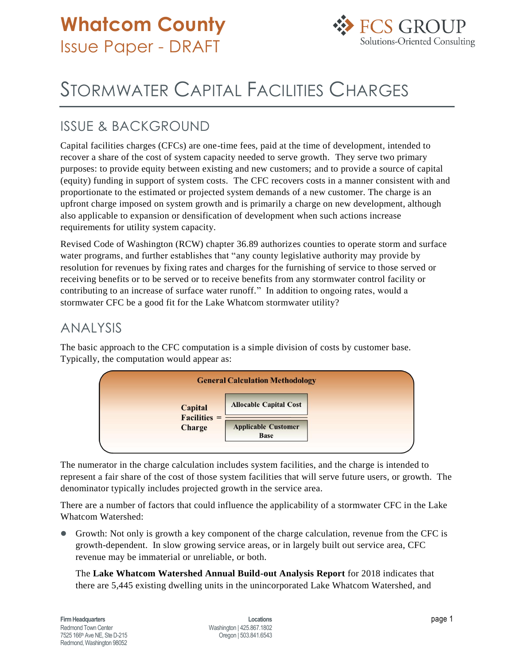

## STORMWATER CAPITAL FACILITIES CHARGES

## ISSUE & BACKGROUND

Capital facilities charges (CFCs) are one-time fees, paid at the time of development, intended to recover a share of the cost of system capacity needed to serve growth. They serve two primary purposes: to provide equity between existing and new customers; and to provide a source of capital (equity) funding in support of system costs. The CFC recovers costs in a manner consistent with and proportionate to the estimated or projected system demands of a new customer. The charge is an upfront charge imposed on system growth and is primarily a charge on new development, although also applicable to expansion or densification of development when such actions increase requirements for utility system capacity.

Revised Code of Washington (RCW) chapter 36.89 authorizes counties to operate storm and surface water programs, and further establishes that "any county legislative authority may provide by resolution for revenues by fixing rates and charges for the furnishing of service to those served or receiving benefits or to be served or to receive benefits from any stormwater control facility or contributing to an increase of surface water runoff." In addition to ongoing rates, would a stormwater CFC be a good fit for the Lake Whatcom stormwater utility?

## ANALYSIS

The basic approach to the CFC computation is a simple division of costs by customer base. Typically, the computation would appear as:



The numerator in the charge calculation includes system facilities, and the charge is intended to represent a fair share of the cost of those system facilities that will serve future users, or growth. The denominator typically includes projected growth in the service area.

There are a number of factors that could influence the applicability of a stormwater CFC in the Lake Whatcom Watershed:

 Growth: Not only is growth a key component of the charge calculation, revenue from the CFC is growth-dependent. In slow growing service areas, or in largely built out service area, CFC revenue may be immaterial or unreliable, or both.

The **Lake Whatcom Watershed Annual Build-out Analysis Report** for 2018 indicates that there are 5,445 existing dwelling units in the unincorporated Lake Whatcom Watershed, and